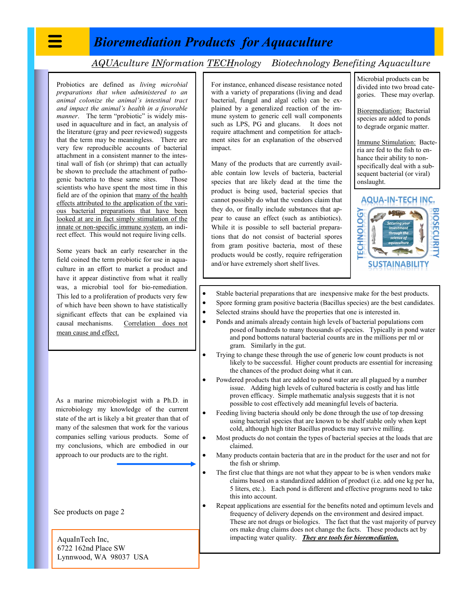## *Bioremediation Products for Aquaculture*

*AQUAculture INformation TECHnology Biotechnology Benefiting Aquaculture*

Probiotics are defined as *living microbial preparations that when administered to an animal colonize the animal's intestinal tract and impact the animal's health in a favorable manner*. The term "probiotic" is widely misused in aquaculture and in fact, an analysis of the literature (gray and peer reviewed) suggests that the term may be meaningless. There are very few reproducible accounts of bacterial attachment in a consistent manner to the intestinal wall of fish (or shrimp) that can actually be shown to preclude the attachment of pathogenic bacteria to these same sites. Those scientists who have spent the most time in this field are of the opinion that many of the health effects attributed to the application of the various bacterial preparations that have been looked at are in fact simply stimulation of the innate or non-specific immune system, an indirect effect. This would not require living cells.

Some years back an early researcher in the field coined the term probiotic for use in aquaculture in an effort to market a product and have it appear distinctive from what it really was, a microbial tool for bio-remediation. This led to a proliferation of products very few of which have been shown to have statistically significant effects that can be explained via causal mechanisms. Correlation does not mean cause and effect.

As a marine microbiologist with a Ph.D. in microbiology my knowledge of the current state of the art is likely a bit greater than that of many of the salesmen that work for the various companies selling various products. Some of my conclusions, which are embodied in our approach to our products are to the right.

See products on page 2

AquaInTech Inc, 6722 162nd Place SW Lynnwood, WA 98037 USA For instance, enhanced disease resistance noted with a variety of preparations (living and dead bacterial, fungal and algal cells) can be explained by a generalized reaction of the immune system to generic cell wall components such as LPS, PG and glucans. It does not require attachment and competition for attachment sites for an explanation of the observed impact.

Many of the products that are currently available contain low levels of bacteria, bacterial species that are likely dead at the time the product is being used, bacterial species that cannot possibly do what the vendors claim that they do, or finally include substances that appear to cause an effect (such as antibiotics). While it is possible to sell bacterial preparations that do not consist of bacterial spores from gram positive bacteria, most of these products would be costly, require refrigeration and/or have extremely short shelf lives.

Microbial products can be divided into two broad categories. These may overlap.

Bioremediation: Bacterial species are added to ponds to degrade organic matter.

Immune Stimulation: Bacteria are fed to the fish to enhance their ability to nonspecifically deal with a subsequent bacterial (or viral) onslaught.

**AQUA-IN-TECH INC.** 



- Stable bacterial preparations that are inexpensive make for the best products.
- Spore forming gram positive bacteria (Bacillus species) are the best candidates.
- Selected strains should have the properties that one is interested in.
- Ponds and animals already contain high levels of bacterial populations com posed of hundreds to many thousands of species. Typically in pond water and pond bottoms natural bacterial counts are in the millions per ml or gram. Similarly in the gut.
- Trying to change these through the use of generic low count products is not likely to be successful. Higher count products are essential for increasing the chances of the product doing what it can.
- Powdered products that are added to pond water are all plagued by a number issue. Adding high levels of cultured bacteria is costly and has little proven efficacy. Simple mathematic analysis suggests that it is not possible to cost effectively add meaningful levels of bacteria.
- Feeding living bacteria should only be done through the use of top dressing using bacterial species that are known to be shelf stable only when kept cold, although high titer Bacillus products may survive milling.
- Most products do not contain the types of bacterial species at the loads that are claimed.
- Many products contain bacteria that are in the product for the user and not for the fish or shrimp.
- The first clue that things are not what they appear to be is when vendors make claims based on a standardized addition of product (i.e. add one kg per ha, 5 liters, etc.). Each pond is different and effective programs need to take this into account.
	- Repeat applications are essential for the benefits noted and optimum levels and frequency of delivery depends on the environment and desired impact. These are not drugs or biologics. The fact that the vast majority of purvey ors make drug claims does not change the facts. These products act by impacting water quality. *They are tools for bioremediation.*